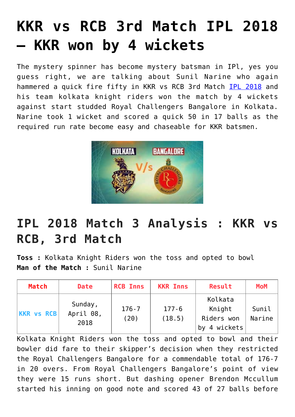## **[KKR vs RCB 3rd Match IPL 2018](https://www.sportstakis.com/kkr-vs-rcb-3rd-match-ipl-2018-kkr-won-by-4-wickets/) [– KKR won by 4 wickets](https://www.sportstakis.com/kkr-vs-rcb-3rd-match-ipl-2018-kkr-won-by-4-wickets/)**

The mystery spinner has become mystery batsman in IPl, yes you guess right, we are talking about Sunil Narine who again hammered a quick fire fifty in KKR vs RCB 3rd Match [IPL 2018](http://www.sportstakis.com/top-unknown-interesting-facts-about-ipl-every-cricket-fan-should-know/) and his team kolkata knight riders won the match by 4 wickets against start studded Royal Challengers Bangalore in Kolkata. Narine took 1 wicket and scored a quick 50 in 17 balls as the required run rate become easy and chaseable for KKR batsmen.



## **IPL 2018 Match 3 Analysis : KKR vs RCB, 3rd Match**

**Toss :** Kolkata Knight Riders won the toss and opted to bowl **Man of the Match :** Sunil Narine

| Match             | <b>Date</b>                  | <b>RCB Inns</b>   | <b>KKR Inns</b>     | Result                                             | <b>MoM</b>      |
|-------------------|------------------------------|-------------------|---------------------|----------------------------------------------------|-----------------|
| <b>KKR vs RCB</b> | Sunday,<br>April 08,<br>2018 | $176 - 7$<br>(20) | $177 - 6$<br>(18.5) | Kolkata<br>Knight<br>Riders won<br>4 wickets<br>bv | Sunil<br>Narine |

Kolkata Knight Riders won the toss and opted to bowl and their bowler did fare to their skipper's decision when they restricted the Royal Challengers Bangalore for a commendable total of 176-7 in 20 overs. From Royal Challengers Bangalore's point of view they were 15 runs short. But dashing opener Brendon Mccullum started his inning on good note and scored 43 of 27 balls before